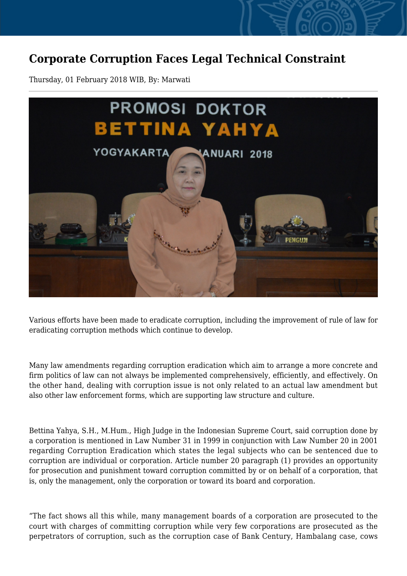## **Corporate Corruption Faces Legal Technical Constraint**

Thursday, 01 February 2018 WIB, By: Marwati



Various efforts have been made to eradicate corruption, including the improvement of rule of law for eradicating corruption methods which continue to develop.

Many law amendments regarding corruption eradication which aim to arrange a more concrete and firm politics of law can not always be implemented comprehensively, efficiently, and effectively. On the other hand, dealing with corruption issue is not only related to an actual law amendment but also other law enforcement forms, which are supporting law structure and culture.

Bettina Yahya, S.H., M.Hum., High Judge in the Indonesian Supreme Court, said corruption done by a corporation is mentioned in Law Number 31 in 1999 in conjunction with Law Number 20 in 2001 regarding Corruption Eradication which states the legal subjects who can be sentenced due to corruption are individual or corporation. Article number 20 paragraph (1) provides an opportunity for prosecution and punishment toward corruption committed by or on behalf of a corporation, that is, only the management, only the corporation or toward its board and corporation.

"The fact shows all this while, many management boards of a corporation are prosecuted to the court with charges of committing corruption while very few corporations are prosecuted as the perpetrators of corruption, such as the corruption case of Bank Century, Hambalang case, cows